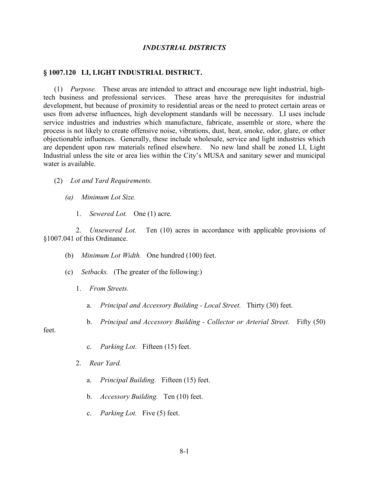## *INDUSTRIAL DISTRICTS*

## **§ 1007.120 LI, LIGHT INDUSTRIAL DISTRICT.**

(1) *Purpose.* These areas are intended to attract and encourage new light industrial, hightech business and professional services. These areas have the prerequisites for industrial development, but because of proximity to residential areas or the need to protect certain areas or uses from adverse influences, high development standards will be necessary. LI uses include service industries and industries which manufacture, fabricate, assemble or store, where the process is not likely to create offensive noise, vibrations, dust, heat, smoke, odor, glare, or other objectionable influences. Generally, these include wholesale, service and light industries which are dependent upon raw materials refined elsewhere. No new land shall be zoned LI, Light Industrial unless the site or area lies within the City's MUSA and sanitary sewer and municipal water is available.

(2) *Lot and Yard Requirements.*

- *(a) Minimum Lot Size.* 
	- 1. *Sewered Lot.* One (1) acre.

2. *Unsewered Lot.* Ten (10) acres in accordance with applicable provisions of §1007.041 of this Ordinance.

- (b) *Minimum Lot Width.* One hundred (100) feet.
- (c) *Setbacks.* (The greater of the following:)
	- 1. *From Streets.*
		- a. *Principal and Accessory Building - Local Street.* Thirty (30) feet.
		- b. *Principal and Accessory Building - Collector or Arterial Street.* Fifty (50)

feet.

- c. *Parking Lot.* Fifteen (15) feet.
- 2. *Rear Yard.*
	- a. *Principal Building.* Fifteen (15) feet.
	- b. *Accessory Building.* Ten (10) feet.
	- c. *Parking Lot.* Five (5) feet.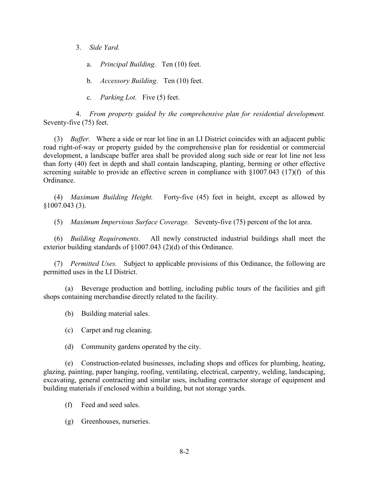3. *Side Yard.*

a. *Principal Building.* Ten (10) feet.

b. *Accessory Building*. Ten (10) feet.

c. *Parking Lot.* Five (5) feet.

4. *From property guided by the comprehensive plan for residential development.* Seventy-five (75) feet.

(3) *Buffer.* Where a side or rear lot line in an LI District coincides with an adjacent public road right-of-way or property guided by the comprehensive plan for residential or commercial development, a landscape buffer area shall be provided along such side or rear lot line not less than forty (40) feet in depth and shall contain landscaping, planting, berming or other effective screening suitable to provide an effective screen in compliance with §1007.043 (17)(f) of this Ordinance.

(4) *Maximum Building Height.* Forty-five (45) feet in height, except as allowed by §1007.043 (3).

(5) *Maximum Impervious Surface Coverage.* Seventy-five (75) percent of the lot area.

(6) *Building Requirements.* All newly constructed industrial buildings shall meet the exterior building standards of §1007.043 (2)(d) of this Ordinance.

(7) *Permitted Uses.* Subject to applicable provisions of this Ordinance, the following are permitted uses in the LI District.

(a) Beverage production and bottling, including public tours of the facilities and gift shops containing merchandise directly related to the facility.

(b) Building material sales.

- (c) Carpet and rug cleaning.
- (d) Community gardens operated by the city.

(e) Construction-related businesses, including shops and offices for plumbing, heating, glazing, painting, paper hanging, roofing, ventilating, electrical, carpentry, welding, landscaping, excavating, general contracting and similar uses, including contractor storage of equipment and building materials if enclosed within a building, but not storage yards.

- (f) Feed and seed sales.
- (g) Greenhouses, nurseries.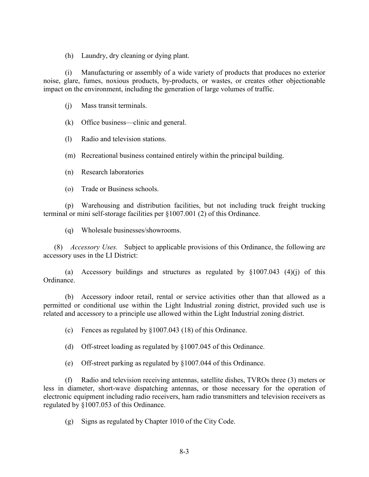(h) Laundry, dry cleaning or dying plant.

(i) Manufacturing or assembly of a wide variety of products that produces no exterior noise, glare, fumes, noxious products, by-products, or wastes, or creates other objectionable impact on the environment, including the generation of large volumes of traffic.

- (j) Mass transit terminals.
- (k) Office business—clinic and general.
- (l) Radio and television stations.
- (m) Recreational business contained entirely within the principal building.
- (n) Research laboratories
- (o) Trade or Business schools.

(p) Warehousing and distribution facilities, but not including truck freight trucking terminal or mini self-storage facilities per §1007.001 (2) of this Ordinance.

(q) Wholesale businesses/showrooms.

(8) *Accessory Uses.* Subject to applicable provisions of this Ordinance, the following are accessory uses in the LI District:

(a) Accessory buildings and structures as regulated by  $\S1007.043$  (4)(j) of this Ordinance.

(b) Accessory indoor retail, rental or service activities other than that allowed as a permitted or conditional use within the Light Industrial zoning district, provided such use is related and accessory to a principle use allowed within the Light Industrial zoning district.

- (c) Fences as regulated by §1007.043 (18) of this Ordinance.
- (d) Off-street loading as regulated by §1007.045 of this Ordinance.
- (e) Off-street parking as regulated by §1007.044 of this Ordinance.

(f) Radio and television receiving antennas, satellite dishes, TVROs three (3) meters or less in diameter, short-wave dispatching antennas, or those necessary for the operation of electronic equipment including radio receivers, ham radio transmitters and television receivers as regulated by §1007.053 of this Ordinance.

(g) Signs as regulated by Chapter 1010 of the City Code.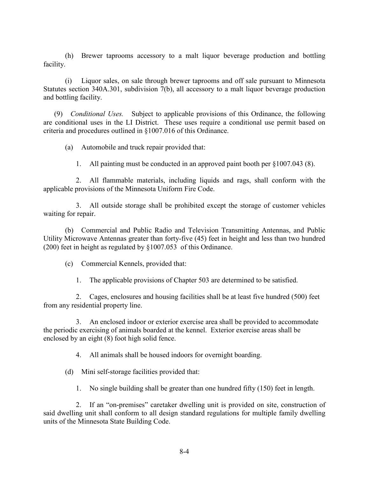(h) Brewer taprooms accessory to a malt liquor beverage production and bottling facility.

(i) Liquor sales, on sale through brewer taprooms and off sale pursuant to Minnesota Statutes section 340A.301, subdivision 7(b), all accessory to a malt liquor beverage production and bottling facility.

(9) *Conditional Uses.* Subject to applicable provisions of this Ordinance, the following are conditional uses in the LI District. These uses require a conditional use permit based on criteria and procedures outlined in §1007.016 of this Ordinance.

(a) Automobile and truck repair provided that:

1. All painting must be conducted in an approved paint booth per §1007.043 (8).

2. All flammable materials, including liquids and rags, shall conform with the applicable provisions of the Minnesota Uniform Fire Code.

3. All outside storage shall be prohibited except the storage of customer vehicles waiting for repair.

(b) Commercial and Public Radio and Television Transmitting Antennas, and Public Utility Microwave Antennas greater than forty-five (45) feet in height and less than two hundred (200) feet in height as regulated by §1007.053 of this Ordinance.

(c) Commercial Kennels, provided that:

1. The applicable provisions of Chapter 503 are determined to be satisfied.

2. Cages, enclosures and housing facilities shall be at least five hundred (500) feet from any residential property line.

3. An enclosed indoor or exterior exercise area shall be provided to accommodate the periodic exercising of animals boarded at the kennel. Exterior exercise areas shall be enclosed by an eight (8) foot high solid fence.

4. All animals shall be housed indoors for overnight boarding.

(d) Mini self-storage facilities provided that:

1. No single building shall be greater than one hundred fifty (150) feet in length.

2. If an "on-premises" caretaker dwelling unit is provided on site, construction of said dwelling unit shall conform to all design standard regulations for multiple family dwelling units of the Minnesota State Building Code.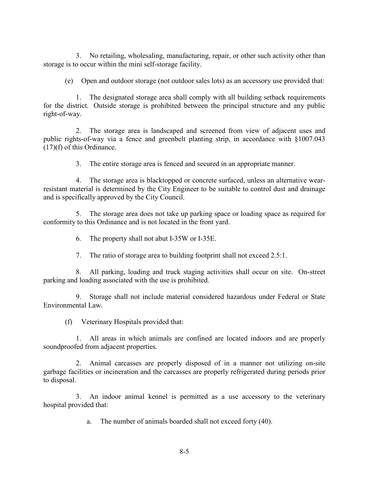3. No retailing, wholesaling, manufacturing, repair, or other such activity other than storage is to occur within the mini self-storage facility.

(e) Open and outdoor storage (not outdoor sales lots) as an accessory use provided that:

1. The designated storage area shall comply with all building setback requirements for the district. Outside storage is prohibited between the principal structure and any public right-of-way.

2. The storage area is landscaped and screened from view of adjacent uses and public rights-of-way via a fence and greenbelt planting strip, in accordance with §1007.043 (17)(f) of this Ordinance.

3. The entire storage area is fenced and secured in an appropriate manner.

4. The storage area is blacktopped or concrete surfaced, unless an alternative wearresistant material is determined by the City Engineer to be suitable to control dust and drainage and is specifically approved by the City Council.

5. The storage area does not take up parking space or loading space as required for conformity to this Ordinance and is not located in the front yard.

6. The property shall not abut I-35W or I-35E.

7. The ratio of storage area to building footprint shall not exceed 2.5:1.

8. All parking, loading and truck staging activities shall occur on site. On-street parking and loading associated with the use is prohibited.

9. Storage shall not include material considered hazardous under Federal or State Environmental Law.

(f) Veterinary Hospitals provided that:

1. All areas in which animals are confined are located indoors and are properly soundproofed from adjacent properties.

2. Animal carcasses are properly disposed of in a manner not utilizing on-site garbage facilities or incineration and the carcasses are properly refrigerated during periods prior to disposal.

3. An indoor animal kennel is permitted as a use accessory to the veterinary hospital provided that:

a. The number of animals boarded shall not exceed forty (40).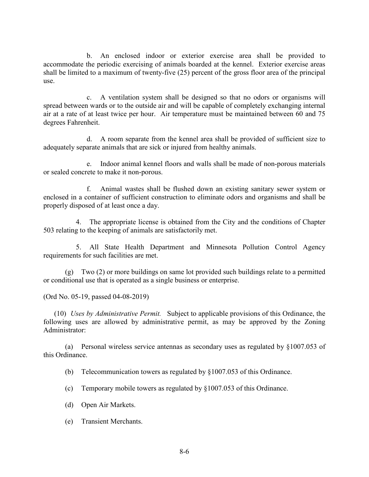b. An enclosed indoor or exterior exercise area shall be provided to accommodate the periodic exercising of animals boarded at the kennel. Exterior exercise areas shall be limited to a maximum of twenty-five (25) percent of the gross floor area of the principal use.

c. A ventilation system shall be designed so that no odors or organisms will spread between wards or to the outside air and will be capable of completely exchanging internal air at a rate of at least twice per hour. Air temperature must be maintained between 60 and 75 degrees Fahrenheit.

d. A room separate from the kennel area shall be provided of sufficient size to adequately separate animals that are sick or injured from healthy animals.

e. Indoor animal kennel floors and walls shall be made of non-porous materials or sealed concrete to make it non-porous.

f. Animal wastes shall be flushed down an existing sanitary sewer system or enclosed in a container of sufficient construction to eliminate odors and organisms and shall be properly disposed of at least once a day.

4. The appropriate license is obtained from the City and the conditions of Chapter 503 relating to the keeping of animals are satisfactorily met.

5. All State Health Department and Minnesota Pollution Control Agency requirements for such facilities are met.

(g) Two (2) or more buildings on same lot provided such buildings relate to a permitted or conditional use that is operated as a single business or enterprise.

(Ord No. 05-19, passed 04-08-2019)

(10) *Uses by Administrative Permit.* Subject to applicable provisions of this Ordinance, the following uses are allowed by administrative permit, as may be approved by the Zoning Administrator:

(a) Personal wireless service antennas as secondary uses as regulated by §1007.053 of this Ordinance.

(b) Telecommunication towers as regulated by §1007.053 of this Ordinance.

- (c) Temporary mobile towers as regulated by §1007.053 of this Ordinance.
- (d) Open Air Markets.
- (e) Transient Merchants.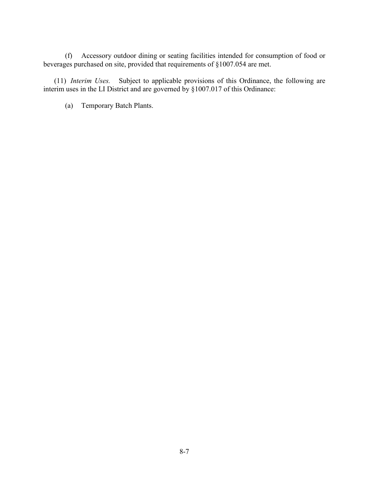(f) Accessory outdoor dining or seating facilities intended for consumption of food or beverages purchased on site, provided that requirements of §1007.054 are met.

(11) *Interim Uses.* Subject to applicable provisions of this Ordinance, the following are interim uses in the LI District and are governed by §1007.017 of this Ordinance:

(a) Temporary Batch Plants.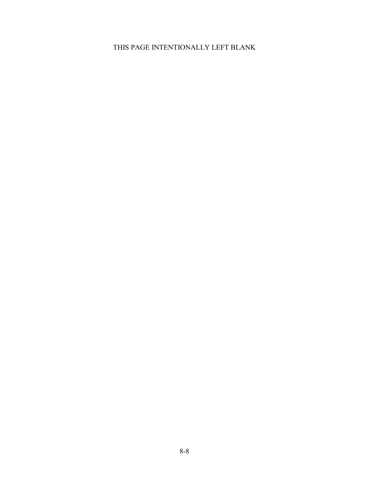## THIS PAGE INTENTIONALLY LEFT BLANK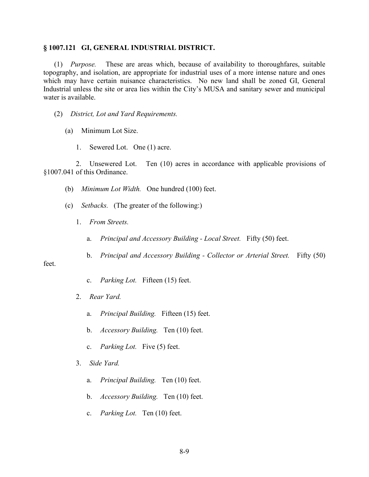## **§ 1007.121 GI, GENERAL INDUSTRIAL DISTRICT.**

(1) *Purpose.* These are areas which, because of availability to thoroughfares, suitable topography, and isolation, are appropriate for industrial uses of a more intense nature and ones which may have certain nuisance characteristics. No new land shall be zoned GI, General Industrial unless the site or area lies within the City's MUSA and sanitary sewer and municipal water is available.

- (2) *District, Lot and Yard Requirements.*
	- (a) Minimum Lot Size.
		- 1. Sewered Lot. One (1) acre.

2. Unsewered Lot. Ten (10) acres in accordance with applicable provisions of §1007.041 of this Ordinance.

- (b) *Minimum Lot Width.* One hundred (100) feet.
- (c) *Setbacks.* (The greater of the following:)
	- 1. *From Streets.*
		- a. *Principal and Accessory Building - Local Street.* Fifty (50) feet.
		- b. *Principal and Accessory Building - Collector or Arterial Street.* Fifty (50)

feet.

- c. *Parking Lot.* Fifteen (15) feet.
- 2. *Rear Yard.*
	- a. *Principal Building.* Fifteen (15) feet.
	- b. *Accessory Building.* Ten (10) feet.
	- c. *Parking Lot.* Five (5) feet.
- 3. *Side Yard.*
	- a. *Principal Building.* Ten (10) feet.
	- b. *Accessory Building.* Ten (10) feet.
	- c. *Parking Lot.* Ten (10) feet.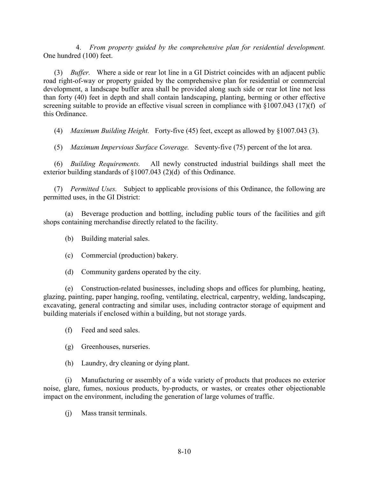4. *From property guided by the comprehensive plan for residential development.* One hundred (100) feet.

(3) *Buffer.* Where a side or rear lot line in a GI District coincides with an adjacent public road right-of-way or property guided by the comprehensive plan for residential or commercial development, a landscape buffer area shall be provided along such side or rear lot line not less than forty (40) feet in depth and shall contain landscaping, planting, berming or other effective screening suitable to provide an effective visual screen in compliance with §1007.043 (17)(f) of this Ordinance.

(4) *Maximum Building Height.* Forty-five (45) feet, except as allowed by §1007.043 (3).

(5) *Maximum Impervious Surface Coverage.* Seventy-five (75) percent of the lot area.

(6) *Building Requirements.* All newly constructed industrial buildings shall meet the exterior building standards of §1007.043 (2)(d) of this Ordinance.

(7) *Permitted Uses.* Subject to applicable provisions of this Ordinance, the following are permitted uses, in the GI District:

(a) Beverage production and bottling, including public tours of the facilities and gift shops containing merchandise directly related to the facility.

- (b) Building material sales.
- (c) Commercial (production) bakery.
- (d) Community gardens operated by the city.

(e) Construction-related businesses, including shops and offices for plumbing, heating, glazing, painting, paper hanging, roofing, ventilating, electrical, carpentry, welding, landscaping, excavating, general contracting and similar uses, including contractor storage of equipment and building materials if enclosed within a building, but not storage yards.

- (f) Feed and seed sales.
- (g) Greenhouses, nurseries.
- (h) Laundry, dry cleaning or dying plant.

(i) Manufacturing or assembly of a wide variety of products that produces no exterior noise, glare, fumes, noxious products, by-products, or wastes, or creates other objectionable impact on the environment, including the generation of large volumes of traffic.

(j) Mass transit terminals.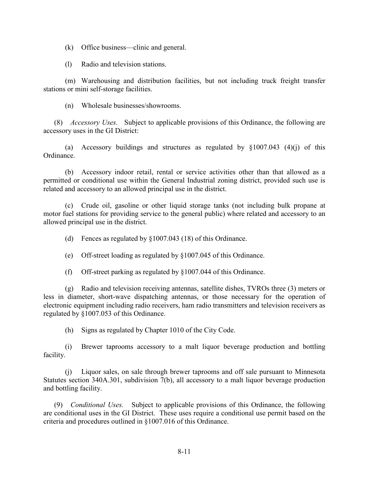(k) Office business—clinic and general.

(l) Radio and television stations.

(m) Warehousing and distribution facilities, but not including truck freight transfer stations or mini self-storage facilities.

(n) Wholesale businesses/showrooms.

(8) *Accessory Uses.* Subject to applicable provisions of this Ordinance, the following are accessory uses in the GI District:

(a) Accessory buildings and structures as regulated by §1007.043 (4)(j) of this Ordinance.

(b) Accessory indoor retail, rental or service activities other than that allowed as a permitted or conditional use within the General Industrial zoning district, provided such use is related and accessory to an allowed principal use in the district.

(c) Crude oil, gasoline or other liquid storage tanks (not including bulk propane at motor fuel stations for providing service to the general public) where related and accessory to an allowed principal use in the district.

(d) Fences as regulated by §1007.043 (18) of this Ordinance.

(e) Off-street loading as regulated by §1007.045 of this Ordinance.

(f) Off-street parking as regulated by §1007.044 of this Ordinance.

(g) Radio and television receiving antennas, satellite dishes, TVROs three (3) meters or less in diameter, short-wave dispatching antennas, or those necessary for the operation of electronic equipment including radio receivers, ham radio transmitters and television receivers as regulated by §1007.053 of this Ordinance.

(h) Signs as regulated by Chapter 1010 of the City Code.

(i) Brewer taprooms accessory to a malt liquor beverage production and bottling facility.

Liquor sales, on sale through brewer taprooms and off sale pursuant to Minnesota Statutes section 340A.301, subdivision 7(b), all accessory to a malt liquor beverage production and bottling facility.

(9) *Conditional Uses.* Subject to applicable provisions of this Ordinance, the following are conditional uses in the GI District. These uses require a conditional use permit based on the criteria and procedures outlined in §1007.016 of this Ordinance.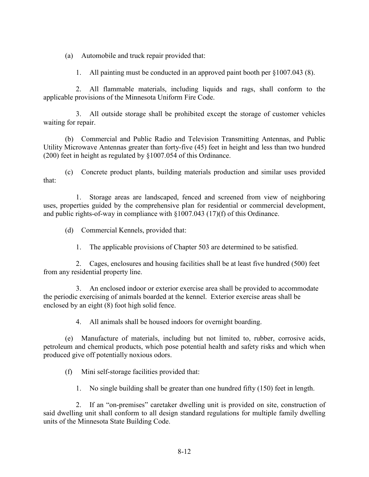(a) Automobile and truck repair provided that:

1. All painting must be conducted in an approved paint booth per §1007.043 (8).

2. All flammable materials, including liquids and rags, shall conform to the applicable provisions of the Minnesota Uniform Fire Code.

3. All outside storage shall be prohibited except the storage of customer vehicles waiting for repair.

(b) Commercial and Public Radio and Television Transmitting Antennas, and Public Utility Microwave Antennas greater than forty-five (45) feet in height and less than two hundred (200) feet in height as regulated by §1007.054 of this Ordinance.

(c) Concrete product plants, building materials production and similar uses provided that:

1. Storage areas are landscaped, fenced and screened from view of neighboring uses, properties guided by the comprehensive plan for residential or commercial development, and public rights-of-way in compliance with §1007.043 (17)(f) of this Ordinance.

(d) Commercial Kennels, provided that:

1. The applicable provisions of Chapter 503 are determined to be satisfied.

2. Cages, enclosures and housing facilities shall be at least five hundred (500) feet from any residential property line.

3. An enclosed indoor or exterior exercise area shall be provided to accommodate the periodic exercising of animals boarded at the kennel. Exterior exercise areas shall be enclosed by an eight (8) foot high solid fence.

4. All animals shall be housed indoors for overnight boarding.

(e) Manufacture of materials, including but not limited to, rubber, corrosive acids, petroleum and chemical products, which pose potential health and safety risks and which when produced give off potentially noxious odors.

(f) Mini self-storage facilities provided that:

1. No single building shall be greater than one hundred fifty (150) feet in length.

2. If an "on-premises" caretaker dwelling unit is provided on site, construction of said dwelling unit shall conform to all design standard regulations for multiple family dwelling units of the Minnesota State Building Code.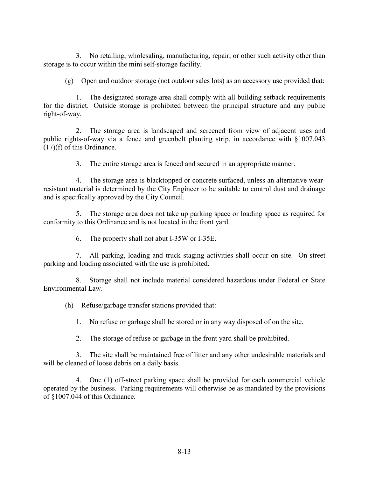3. No retailing, wholesaling, manufacturing, repair, or other such activity other than storage is to occur within the mini self-storage facility.

(g) Open and outdoor storage (not outdoor sales lots) as an accessory use provided that:

1. The designated storage area shall comply with all building setback requirements for the district. Outside storage is prohibited between the principal structure and any public right-of-way.

2. The storage area is landscaped and screened from view of adjacent uses and public rights-of-way via a fence and greenbelt planting strip, in accordance with §1007.043 (17)(f) of this Ordinance.

3. The entire storage area is fenced and secured in an appropriate manner.

4. The storage area is blacktopped or concrete surfaced, unless an alternative wearresistant material is determined by the City Engineer to be suitable to control dust and drainage and is specifically approved by the City Council.

5. The storage area does not take up parking space or loading space as required for conformity to this Ordinance and is not located in the front yard.

6. The property shall not abut I-35W or I-35E.

7. All parking, loading and truck staging activities shall occur on site. On-street parking and loading associated with the use is prohibited.

8. Storage shall not include material considered hazardous under Federal or State Environmental Law.

(h) Refuse/garbage transfer stations provided that:

1. No refuse or garbage shall be stored or in any way disposed of on the site.

2. The storage of refuse or garbage in the front yard shall be prohibited.

3. The site shall be maintained free of litter and any other undesirable materials and will be cleaned of loose debris on a daily basis.

4. One (1) off-street parking space shall be provided for each commercial vehicle operated by the business. Parking requirements will otherwise be as mandated by the provisions of §1007.044 of this Ordinance.